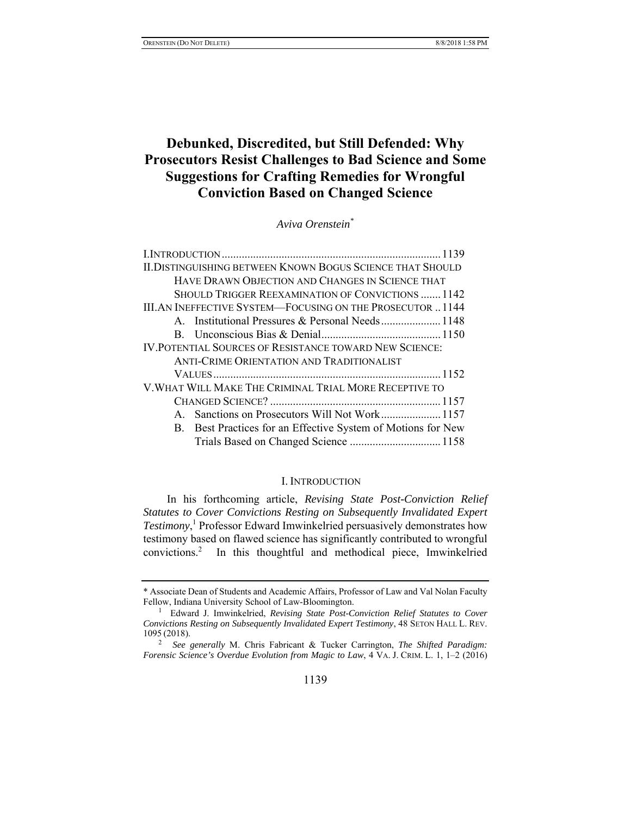# **Debunked, Discredited, but Still Defended: Why Prosecutors Resist Challenges to Bad Science and Some Suggestions for Crafting Remedies for Wrongful Conviction Based on Changed Science**

*Aviva Orenstein\** 

| <b>II.DISTINGUISHING BETWEEN KNOWN BOGUS SCIENCE THAT SHOULD</b> |  |
|------------------------------------------------------------------|--|
| HAVE DRAWN OBJECTION AND CHANGES IN SCIENCE THAT                 |  |
| SHOULD TRIGGER REEXAMINATION OF CONVICTIONS  1142                |  |
| <b>III.AN INEFFECTIVE SYSTEM—FOCUSING ON THE PROSECUTOR1144</b>  |  |
| A. Institutional Pressures & Personal Needs 1148                 |  |
|                                                                  |  |
| <b>IV. POTENTIAL SOURCES OF RESISTANCE TOWARD NEW SCIENCE:</b>   |  |
| ANTI-CRIME ORIENTATION AND TRADITIONALIST                        |  |
|                                                                  |  |
| V. WHAT WILL MAKE THE CRIMINAL TRIAL MORE RECEPTIVE TO           |  |
|                                                                  |  |
| A. Sanctions on Prosecutors Will Not Work 1157                   |  |
| B. Best Practices for an Effective System of Motions for New     |  |
| Trials Based on Changed Science  1158                            |  |
|                                                                  |  |

# I. INTRODUCTION

In his forthcoming article, *Revising State Post-Conviction Relief Statutes to Cover Convictions Resting on Subsequently Invalidated Expert Testimony*, 1 Professor Edward Imwinkelried persuasively demonstrates how testimony based on flawed science has significantly contributed to wrongful convictions.2 In this thoughtful and methodical piece, Imwinkelried

<sup>\*</sup> Associate Dean of Students and Academic Affairs, Professor of Law and Val Nolan Faculty Fellow, Indiana University School of Law-Bloomington.

Edward J. Imwinkelried, *Revising State Post-Conviction Relief Statutes to Cover Convictions Resting on Subsequently Invalidated Expert Testimony*, 48 SETON HALL L. REV. 1095 (2018).

<sup>2</sup> *See generally* M. Chris Fabricant & Tucker Carrington, *The Shifted Paradigm: Forensic Science's Overdue Evolution from Magic to Law*, 4 VA. J. CRIM. L. 1, 1–2 (2016)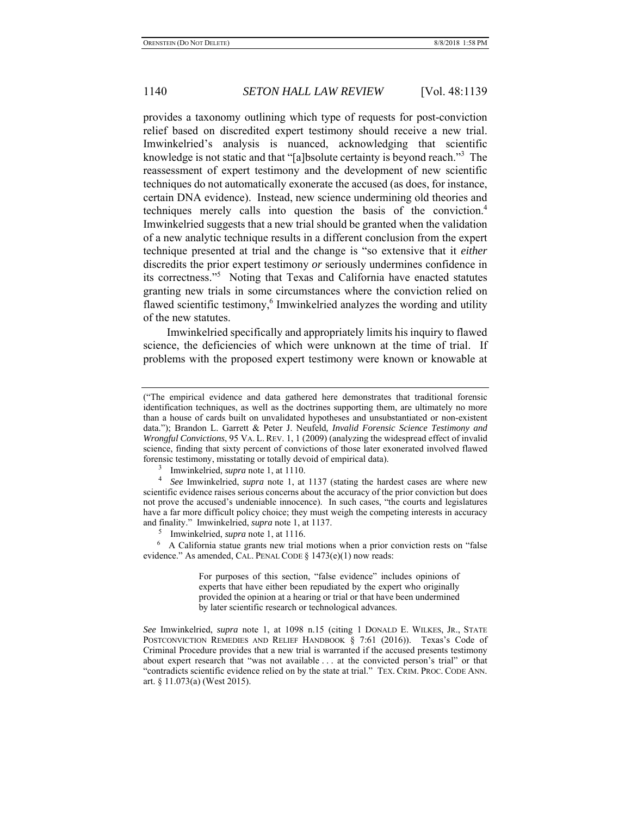provides a taxonomy outlining which type of requests for post-conviction relief based on discredited expert testimony should receive a new trial. Imwinkelried's analysis is nuanced, acknowledging that scientific knowledge is not static and that "[a]bsolute certainty is beyond reach."<sup>3</sup> The reassessment of expert testimony and the development of new scientific techniques do not automatically exonerate the accused (as does, for instance, certain DNA evidence). Instead, new science undermining old theories and techniques merely calls into question the basis of the conviction.<sup>4</sup> Imwinkelried suggests that a new trial should be granted when the validation of a new analytic technique results in a different conclusion from the expert technique presented at trial and the change is "so extensive that it *either* discredits the prior expert testimony *or* seriously undermines confidence in its correctness."<sup>5</sup> Noting that Texas and California have enacted statutes granting new trials in some circumstances where the conviction relied on flawed scientific testimony,<sup>6</sup> Imwinkelried analyzes the wording and utility of the new statutes.

Imwinkelried specifically and appropriately limits his inquiry to flawed science, the deficiencies of which were unknown at the time of trial. If problems with the proposed expert testimony were known or knowable at

<sup>(&</sup>quot;The empirical evidence and data gathered here demonstrates that traditional forensic identification techniques, as well as the doctrines supporting them, are ultimately no more than a house of cards built on unvalidated hypotheses and unsubstantiated or non-existent data."); Brandon L. Garrett & Peter J. Neufeld*, Invalid Forensic Science Testimony and Wrongful Convictions*, 95 VA. L. REV. 1, 1 (2009) (analyzing the widespread effect of invalid science, finding that sixty percent of convictions of those later exonerated involved flawed forensic testimony, misstating or totally devoid of empirical data).

<sup>&</sup>lt;sup>3</sup> Imwinkelried, *supra* note 1, at 1110.

<sup>&</sup>lt;sup>3</sup> Imwinkelried, *supra* note 1, at 1110.<br><sup>4</sup> *See* Imwinkelried, *supra* note 1, at 1137 (stating the hardest cases are where new scientific evidence raises serious concerns about the accuracy of the prior conviction but does not prove the accused's undeniable innocence). In such cases, "the courts and legislatures have a far more difficult policy choice; they must weigh the competing interests in accuracy and finality." Imwinkelried, *supra* note 1, at 1137.

<sup>&</sup>lt;sup>5</sup> Imwinkelried, *supra* note 1, at 1116.

 <sup>6</sup> A California statue grants new trial motions when a prior conviction rests on "false evidence." As amended, CAL. PENAL CODE § 1473(e)(1) now reads:

For purposes of this section, "false evidence" includes opinions of experts that have either been repudiated by the expert who originally provided the opinion at a hearing or trial or that have been undermined by later scientific research or technological advances.

*See* Imwinkelried, *supra* note 1, at 1098 n.15 (citing 1 DONALD E. WILKES, JR., STATE POSTCONVICTION REMEDIES AND RELIEF HANDBOOK § 7:61 (2016)). Texas's Code of Criminal Procedure provides that a new trial is warranted if the accused presents testimony about expert research that "was not available . . . at the convicted person's trial" or that "contradicts scientific evidence relied on by the state at trial." TEX. CRIM. PROC. CODE ANN. art. § 11.073(a) (West 2015).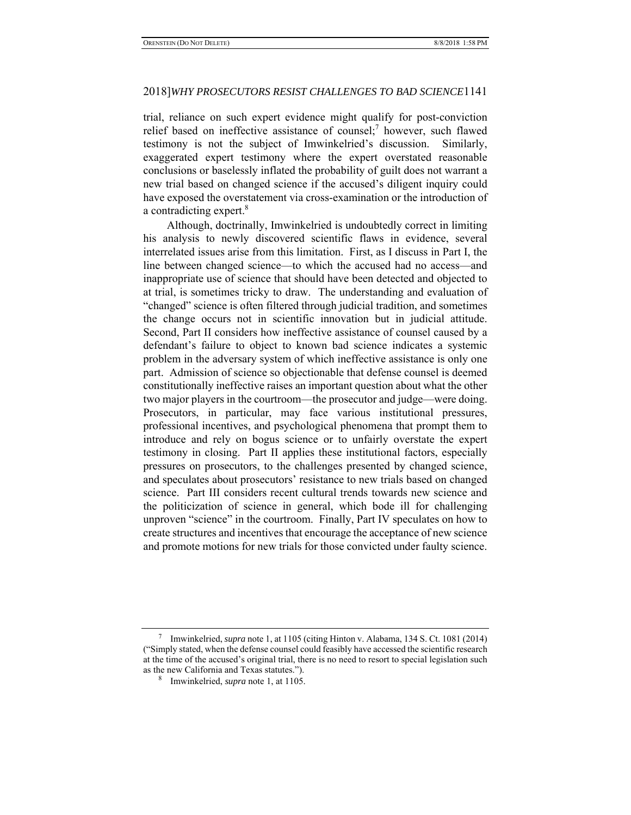trial, reliance on such expert evidence might qualify for post-conviction relief based on ineffective assistance of counsel;<sup>7</sup> however, such flawed testimony is not the subject of Imwinkelried's discussion. Similarly, exaggerated expert testimony where the expert overstated reasonable conclusions or baselessly inflated the probability of guilt does not warrant a new trial based on changed science if the accused's diligent inquiry could have exposed the overstatement via cross-examination or the introduction of a contradicting expert.<sup>8</sup>

Although, doctrinally, Imwinkelried is undoubtedly correct in limiting his analysis to newly discovered scientific flaws in evidence, several interrelated issues arise from this limitation. First, as I discuss in Part I, the line between changed science—to which the accused had no access—and inappropriate use of science that should have been detected and objected to at trial, is sometimes tricky to draw. The understanding and evaluation of "changed" science is often filtered through judicial tradition, and sometimes the change occurs not in scientific innovation but in judicial attitude. Second, Part II considers how ineffective assistance of counsel caused by a defendant's failure to object to known bad science indicates a systemic problem in the adversary system of which ineffective assistance is only one part. Admission of science so objectionable that defense counsel is deemed constitutionally ineffective raises an important question about what the other two major players in the courtroom—the prosecutor and judge—were doing. Prosecutors, in particular, may face various institutional pressures, professional incentives, and psychological phenomena that prompt them to introduce and rely on bogus science or to unfairly overstate the expert testimony in closing. Part II applies these institutional factors, especially pressures on prosecutors, to the challenges presented by changed science, and speculates about prosecutors' resistance to new trials based on changed science. Part III considers recent cultural trends towards new science and the politicization of science in general, which bode ill for challenging unproven "science" in the courtroom. Finally, Part IV speculates on how to create structures and incentives that encourage the acceptance of new science and promote motions for new trials for those convicted under faulty science.

<sup>7</sup> Imwinkelried, *supra* note 1, at 1105 (citing Hinton v. Alabama, 134 S. Ct. 1081 (2014) ("Simply stated, when the defense counsel could feasibly have accessed the scientific research at the time of the accused's original trial, there is no need to resort to special legislation such as the new California and Texas statutes.").

<sup>8</sup> Imwinkelried, *supra* note 1, at 1105.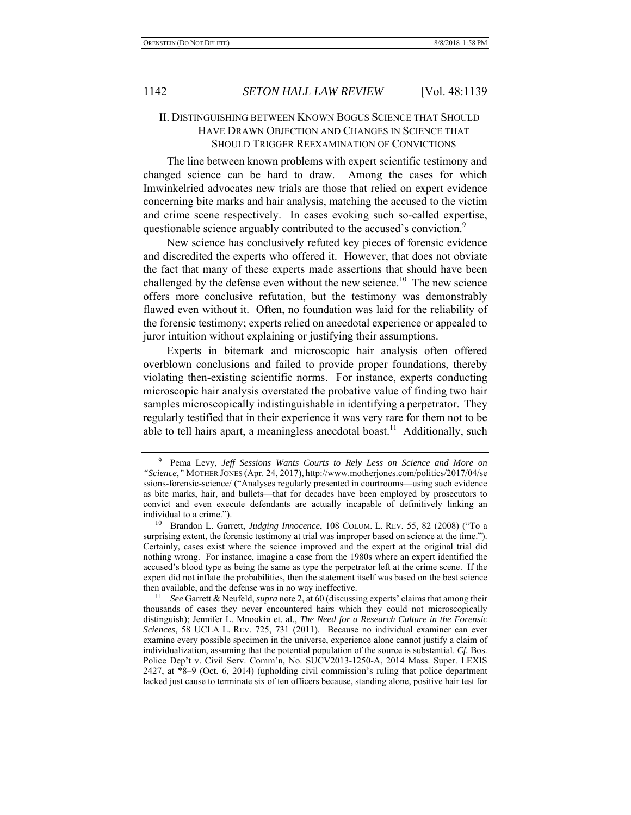# II. DISTINGUISHING BETWEEN KNOWN BOGUS SCIENCE THAT SHOULD HAVE DRAWN OBJECTION AND CHANGES IN SCIENCE THAT SHOULD TRIGGER REEXAMINATION OF CONVICTIONS

The line between known problems with expert scientific testimony and changed science can be hard to draw. Among the cases for which Imwinkelried advocates new trials are those that relied on expert evidence concerning bite marks and hair analysis, matching the accused to the victim and crime scene respectively. In cases evoking such so-called expertise, questionable science arguably contributed to the accused's conviction.<sup>9</sup>

New science has conclusively refuted key pieces of forensic evidence and discredited the experts who offered it. However, that does not obviate the fact that many of these experts made assertions that should have been challenged by the defense even without the new science.<sup>10</sup> The new science offers more conclusive refutation, but the testimony was demonstrably flawed even without it. Often, no foundation was laid for the reliability of the forensic testimony; experts relied on anecdotal experience or appealed to juror intuition without explaining or justifying their assumptions.

Experts in bitemark and microscopic hair analysis often offered overblown conclusions and failed to provide proper foundations, thereby violating then-existing scientific norms. For instance, experts conducting microscopic hair analysis overstated the probative value of finding two hair samples microscopically indistinguishable in identifying a perpetrator. They regularly testified that in their experience it was very rare for them not to be able to tell hairs apart, a meaningless anecdotal boast.<sup>11</sup> Additionally, such

<sup>9</sup> Pema Levy, *Jeff Sessions Wants Courts to Rely Less on Science and More on "Science*,*"* MOTHER JONES (Apr. 24, 2017), http://www.motherjones.com/politics/2017/04/se ssions-forensic-science/ ("Analyses regularly presented in courtrooms—using such evidence as bite marks, hair, and bullets—that for decades have been employed by prosecutors to convict and even execute defendants are actually incapable of definitively linking an individual to a crime.").

<sup>&</sup>lt;sup>10</sup> Brandon L. Garrett, *Judging Innocence*, 108 COLUM. L. REV. 55, 82 (2008) ("To a surprising extent, the forensic testimony at trial was improper based on science at the time."). Certainly, cases exist where the science improved and the expert at the original trial did nothing wrong. For instance, imagine a case from the 1980s where an expert identified the accused's blood type as being the same as type the perpetrator left at the crime scene. If the expert did not inflate the probabilities, then the statement itself was based on the best science then available, and the defense was in no way ineffective.

<sup>&</sup>lt;sup>11</sup> *See Garrett & Neufeld, supra* note 2, at 60 (discussing experts' claims that among their thousands of cases they never encountered hairs which they could not microscopically distinguish); Jennifer L. Mnookin et. al., *The Need for a Research Culture in the Forensic Sciences*, 58 UCLA L. REV. 725, 731 (2011). Because no individual examiner can ever examine every possible specimen in the universe, experience alone cannot justify a claim of individualization, assuming that the potential population of the source is substantial. *Cf.* Bos. Police Dep't v. Civil Serv. Comm'n, No. SUCV2013-1250-A, 2014 Mass. Super. LEXIS 2427, at \*8–9 (Oct. 6, 2014) (upholding civil commission's ruling that police department lacked just cause to terminate six of ten officers because, standing alone, positive hair test for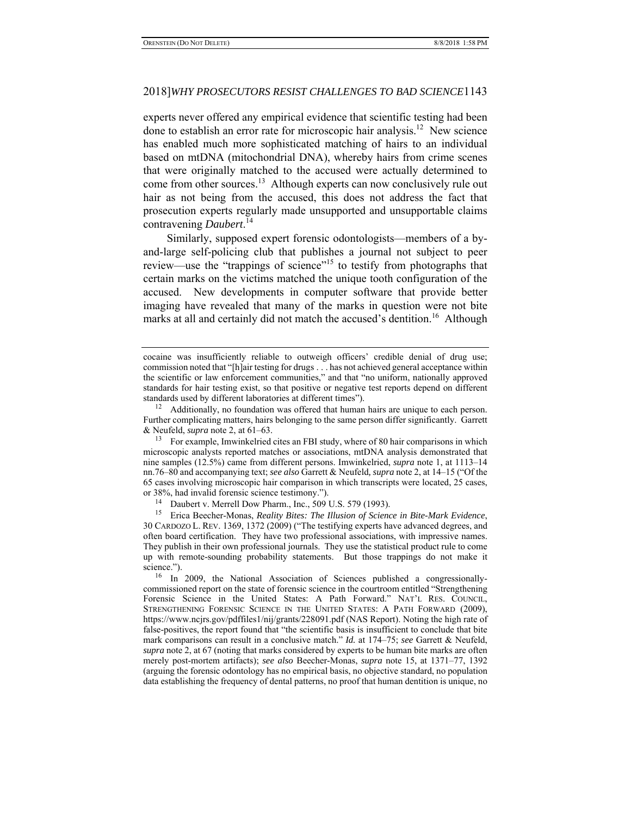experts never offered any empirical evidence that scientific testing had been done to establish an error rate for microscopic hair analysis.<sup>12</sup> New science has enabled much more sophisticated matching of hairs to an individual based on mtDNA (mitochondrial DNA), whereby hairs from crime scenes that were originally matched to the accused were actually determined to come from other sources.<sup>13</sup> Although experts can now conclusively rule out hair as not being from the accused, this does not address the fact that prosecution experts regularly made unsupported and unsupportable claims contravening *Daubert*. 14

Similarly, supposed expert forensic odontologists—members of a byand-large self-policing club that publishes a journal not subject to peer review—use the "trappings of science"<sup>15</sup> to testify from photographs that certain marks on the victims matched the unique tooth configuration of the accused. New developments in computer software that provide better imaging have revealed that many of the marks in question were not bite marks at all and certainly did not match the accused's dentition.<sup>16</sup> Although

cocaine was insufficiently reliable to outweigh officers' credible denial of drug use; commission noted that "[h]air testing for drugs . . . has not achieved general acceptance within the scientific or law enforcement communities," and that "no uniform, nationally approved standards for hair testing exist, so that positive or negative test reports depend on different standards used by different laboratories at different times").

 $12$  Additionally, no foundation was offered that human hairs are unique to each person. Further complicating matters, hairs belonging to the same person differ significantly. Garrett & Neufeld, *supra* note 2, at 61–63.

<sup>&</sup>lt;sup>13</sup> For example, Imwinkelried cites an FBI study, where of 80 hair comparisons in which microscopic analysts reported matches or associations, mtDNA analysis demonstrated that nine samples (12.5%) came from different persons. Imwinkelried, *supra* note 1, at 1113–14 nn.76–80 and accompanying text; *see also* Garrett & Neufeld*, supra* note 2, at 14–15 ("Of the 65 cases involving microscopic hair comparison in which transcripts were located, 25 cases, or 38%, had invalid forensic science testimony.").

<sup>&</sup>lt;sup>14</sup> Daubert v. Merrell Dow Pharm., Inc., 509 U.S. 579 (1993).

<sup>15</sup> Erica Beecher-Monas, *Reality Bites: The Illusion of Science in Bite-Mark Evidence*, 30 CARDOZO L. REV. 1369, 1372 (2009) ("The testifying experts have advanced degrees, and often board certification. They have two professional associations, with impressive names. They publish in their own professional journals. They use the statistical product rule to come up with remote-sounding probability statements. But those trappings do not make it science.").

<sup>&</sup>lt;sup>16</sup> In 2009, the National Association of Sciences published a congressionallycommissioned report on the state of forensic science in the courtroom entitled "Strengthening Forensic Science in the United States: A Path Forward." NAT'L RES. COUNCIL, STRENGTHENING FORENSIC SCIENCE IN THE UNITED STATES: A PATH FORWARD (2009), https://www.ncjrs.gov/pdffiles1/nij/grants/228091.pdf (NAS Report). Noting the high rate of false-positives, the report found that "the scientific basis is insufficient to conclude that bite mark comparisons can result in a conclusive match." *Id.* at 174–75; *see* Garrett & Neufeld, *supra* note 2, at 67 (noting that marks considered by experts to be human bite marks are often merely post-mortem artifacts); *see also* Beecher-Monas, *supra* note 15, at 1371–77, 1392 (arguing the forensic odontology has no empirical basis, no objective standard, no population data establishing the frequency of dental patterns, no proof that human dentition is unique, no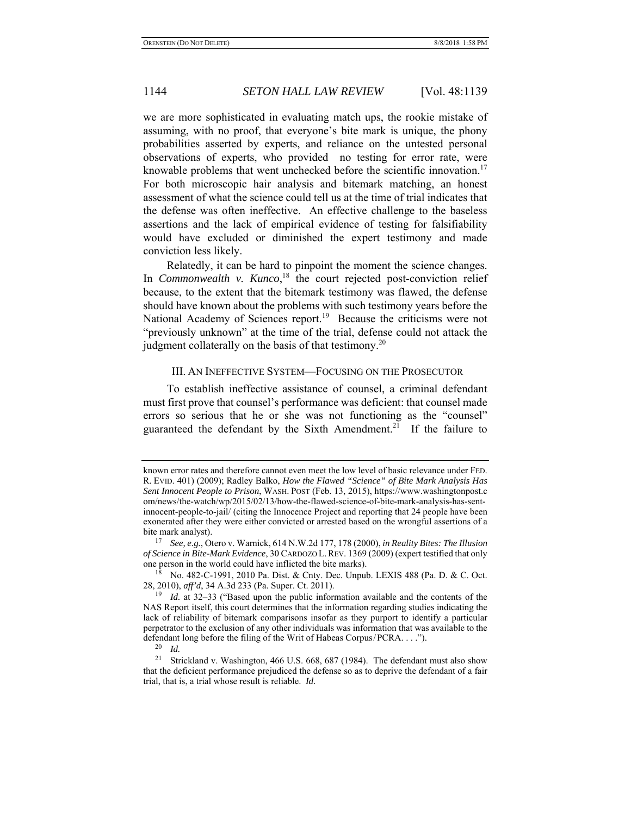we are more sophisticated in evaluating match ups, the rookie mistake of assuming, with no proof, that everyone's bite mark is unique, the phony probabilities asserted by experts, and reliance on the untested personal observations of experts, who provided no testing for error rate, were knowable problems that went unchecked before the scientific innovation.<sup>17</sup> For both microscopic hair analysis and bitemark matching, an honest assessment of what the science could tell us at the time of trial indicates that the defense was often ineffective. An effective challenge to the baseless assertions and the lack of empirical evidence of testing for falsifiability would have excluded or diminished the expert testimony and made conviction less likely.

Relatedly, it can be hard to pinpoint the moment the science changes. In *Commonwealth v. Kunco*,<sup>18</sup> the court rejected post-conviction relief because, to the extent that the bitemark testimony was flawed, the defense should have known about the problems with such testimony years before the National Academy of Sciences report.<sup>19</sup> Because the criticisms were not "previously unknown" at the time of the trial, defense could not attack the judgment collaterally on the basis of that testimony.<sup>20</sup>

#### III. AN INEFFECTIVE SYSTEM—FOCUSING ON THE PROSECUTOR

To establish ineffective assistance of counsel, a criminal defendant must first prove that counsel's performance was deficient: that counsel made errors so serious that he or she was not functioning as the "counsel" guaranteed the defendant by the Sixth Amendment.<sup>21</sup> If the failure to

known error rates and therefore cannot even meet the low level of basic relevance under FED. R. EVID. 401) (2009); Radley Balko, *How the Flawed "Science" of Bite Mark Analysis Has Sent Innocent People to Prison*, WASH. POST (Feb. 13, 2015), https://www.washingtonpost.c om/news/the-watch/wp/2015/02/13/how-the-flawed-science-of-bite-mark-analysis-has-sentinnocent-people-to-jail/ (citing the Innocence Project and reporting that 24 people have been exonerated after they were either convicted or arrested based on the wrongful assertions of a bite mark analyst).

<sup>17</sup> *See, e.g.*, Otero v. Warnick, 614 N.W.2d 177, 178 (2000), *in Reality Bites: The Illusion of Science in Bite-Mark Evidence*, 30 CARDOZO L.REV. 1369 (2009) (expert testified that only one person in the world could have inflicted the bite marks).

 $18$  No. 482-C-1991, 2010 Pa. Dist. & Cnty. Dec. Unpub. LEXIS 488 (Pa. D. & C. Oct. 28, 2010), *aff'd*, 34 A.3d 233 (Pa. Super. Ct. 2011).

<sup>19</sup> *Id.* at 32–33 ("Based upon the public information available and the contents of the NAS Report itself, this court determines that the information regarding studies indicating the lack of reliability of bitemark comparisons insofar as they purport to identify a particular perpetrator to the exclusion of any other individuals was information that was available to the defendant long before the filing of the Writ of Habeas Corpus/PCRA. . . .").<br><sup>20</sup> Id

 $\frac{20}{21}$  *Id.* 

Strickland v. Washington, 466 U.S. 668, 687 (1984). The defendant must also show that the deficient performance prejudiced the defense so as to deprive the defendant of a fair trial, that is, a trial whose result is reliable. *Id.*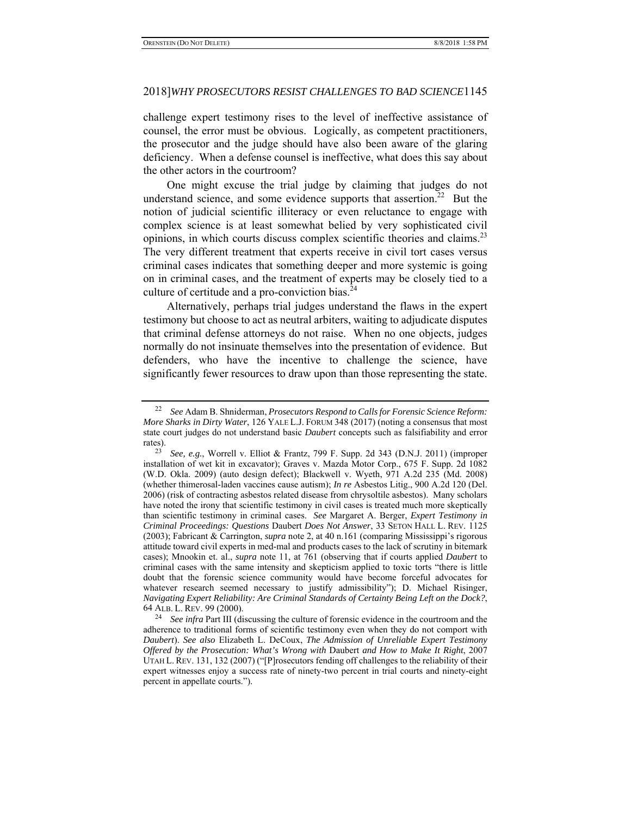challenge expert testimony rises to the level of ineffective assistance of counsel, the error must be obvious. Logically, as competent practitioners, the prosecutor and the judge should have also been aware of the glaring deficiency. When a defense counsel is ineffective, what does this say about the other actors in the courtroom?

One might excuse the trial judge by claiming that judges do not understand science, and some evidence supports that assertion.<sup>22</sup> But the notion of judicial scientific illiteracy or even reluctance to engage with complex science is at least somewhat belied by very sophisticated civil opinions, in which courts discuss complex scientific theories and claims.<sup>23</sup> The very different treatment that experts receive in civil tort cases versus criminal cases indicates that something deeper and more systemic is going on in criminal cases, and the treatment of experts may be closely tied to a culture of certitude and a pro-conviction bias. $24$ 

Alternatively, perhaps trial judges understand the flaws in the expert testimony but choose to act as neutral arbiters, waiting to adjudicate disputes that criminal defense attorneys do not raise. When no one objects, judges normally do not insinuate themselves into the presentation of evidence. But defenders, who have the incentive to challenge the science, have significantly fewer resources to draw upon than those representing the state.

<sup>22</sup> *See* Adam B. Shniderman, *Prosecutors Respond to Calls for Forensic Science Reform: More Sharks in Dirty Water*, 126 YALE L.J. FORUM 348 (2017) (noting a consensus that most state court judges do not understand basic *Daubert* concepts such as falsifiability and error rates).

<sup>23</sup> *See, e.g.*, Worrell v. Elliot & Frantz, 799 F. Supp. 2d 343 (D.N.J. 2011) (improper installation of wet kit in excavator); Graves v. Mazda Motor Corp., 675 F. Supp. 2d 1082 (W.D. Okla. 2009) (auto design defect); Blackwell v. Wyeth, 971 A.2d 235 (Md. 2008) (whether thimerosal-laden vaccines cause autism); *In re* Asbestos Litig., 900 A.2d 120 (Del. 2006) (risk of contracting asbestos related disease from chrysoltile asbestos). Many scholars have noted the irony that scientific testimony in civil cases is treated much more skeptically than scientific testimony in criminal cases. *See* Margaret A. Berger, *Expert Testimony in Criminal Proceedings: Questions* Daubert *Does Not Answer*, 33 SETON HALL L. REV. 1125 (2003); Fabricant & Carrington, *supra* note 2, at 40 n.161 (comparing Mississippi's rigorous attitude toward civil experts in med-mal and products cases to the lack of scrutiny in bitemark cases); Mnookin et. al., *supra* note 11, at 761 (observing that if courts applied *Daubert* to criminal cases with the same intensity and skepticism applied to toxic torts "there is little doubt that the forensic science community would have become forceful advocates for whatever research seemed necessary to justify admissibility"); D. Michael Risinger, *Navigating Expert Reliability: Are Criminal Standards of Certainty Being Left on the Dock?*,

<sup>64</sup> ALB. L. REV. 99 (2000). 24 *See infra* Part III (discussing the culture of forensic evidence in the courtroom and the adherence to traditional forms of scientific testimony even when they do not comport with *Daubert*). *See also* Elizabeth L. DeCoux, *The Admission of Unreliable Expert Testimony Offered by the Prosecution: What's Wrong with* Daubert *and How to Make It Right*, 2007 UTAH L. REV. 131, 132 (2007) ("[P]rosecutors fending off challenges to the reliability of their expert witnesses enjoy a success rate of ninety-two percent in trial courts and ninety-eight percent in appellate courts.").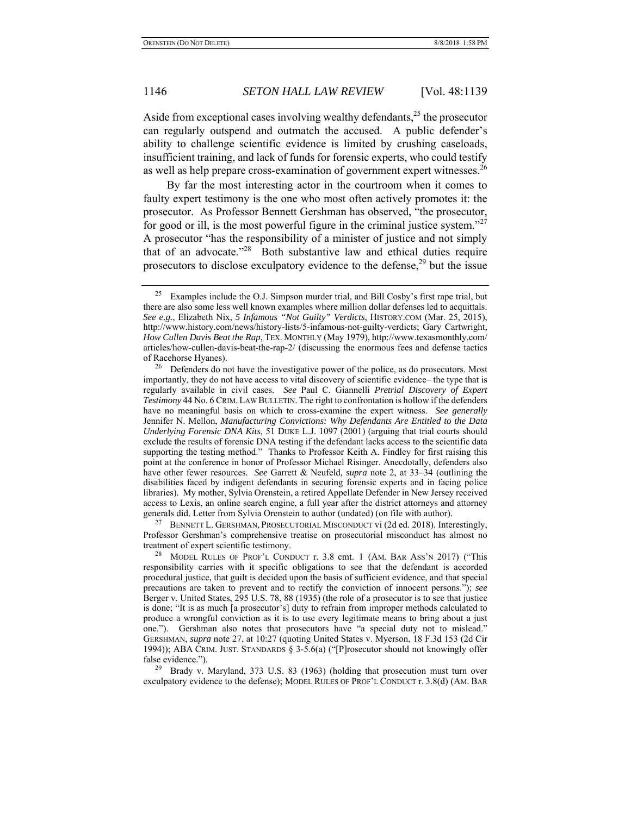Aside from exceptional cases involving wealthy defendants, $^{25}$  the prosecutor can regularly outspend and outmatch the accused. A public defender's ability to challenge scientific evidence is limited by crushing caseloads, insufficient training, and lack of funds for forensic experts, who could testify as well as help prepare cross-examination of government expert witnesses.<sup>26</sup>

By far the most interesting actor in the courtroom when it comes to faulty expert testimony is the one who most often actively promotes it: the prosecutor. As Professor Bennett Gershman has observed, "the prosecutor, for good or ill, is the most powerful figure in the criminal justice system."<sup>27</sup> A prosecutor "has the responsibility of a minister of justice and not simply that of an advocate."28 Both substantive law and ethical duties require prosecutors to disclose exculpatory evidence to the defense,<sup>29</sup> but the issue

<sup>27</sup> BENNETT L. GERSHMAN, PROSECUTORIAL MISCONDUCT vi (2d ed. 2018). Interestingly, Professor Gershman's comprehensive treatise on prosecutorial misconduct has almost no treatment of expert scientific testimony.

<sup>&</sup>lt;sup>25</sup> Examples include the O.J. Simpson murder trial, and Bill Cosby's first rape trial, but there are also some less well known examples where million dollar defenses led to acquittals. *See e.g.*, Elizabeth Nix, *5 Infamous "Not Guilty" Verdicts*, HISTORY.COM (Mar. 25, 2015), http://www.history.com/news/history-lists/5-infamous-not-guilty-verdicts; Gary Cartwright, *How Cullen Davis Beat the Rap*, TEX. MONTHLY (May 1979), http://www.texasmonthly.com/ articles/how-cullen-davis-beat-the-rap-2/ (discussing the enormous fees and defense tactics of Racehorse Hyanes).

<sup>&</sup>lt;sup>26</sup> Defenders do not have the investigative power of the police, as do prosecutors. Most importantly, they do not have access to vital discovery of scientific evidence– the type that is regularly available in civil cases. *See* Paul C. Giannelli *Pretrial Discovery of Expert Testimony* 44 No. 6 CRIM.LAW BULLETIN. The right to confrontation is hollow if the defenders have no meaningful basis on which to cross-examine the expert witness. *See generally*  Jennifer N. Mellon, *Manufacturing Convictions: Why Defendants Are Entitled to the Data Underlying Forensic DNA Kits,* 51 DUKE L.J. 1097 (2001) (arguing that trial courts should exclude the results of forensic DNA testing if the defendant lacks access to the scientific data supporting the testing method." Thanks to Professor Keith A. Findley for first raising this point at the conference in honor of Professor Michael Risinger. Anecdotally, defenders also have other fewer resources. *See* Garrett & Neufeld, *supra* note 2, at 33–34 (outlining the disabilities faced by indigent defendants in securing forensic experts and in facing police libraries). My mother, Sylvia Orenstein, a retired Appellate Defender in New Jersey received access to Lexis, an online search engine, a full year after the district attorneys and attorney generals did. Letter from Sylvia Orenstein to author (undated) (on file with author).

<sup>&</sup>lt;sup>28</sup> MODEL RULES OF PROF'L CONDUCT r. 3.8 cmt. 1 (AM. BAR ASS'N 2017) ("This responsibility carries with it specific obligations to see that the defendant is accorded procedural justice, that guilt is decided upon the basis of sufficient evidence, and that special precautions are taken to prevent and to rectify the conviction of innocent persons."); *see* Berger v. United States, 295 U.S. 78, 88 (1935) (the role of a prosecutor is to see that justice is done; "It is as much [a prosecutor's] duty to refrain from improper methods calculated to produce a wrongful conviction as it is to use every legitimate means to bring about a just one."). Gershman also notes that prosecutors have "a special duty not to mislead." GERSHMAN, *supra* note 27, at 10:27 (quoting United States v. Myerson, 18 F.3d 153 (2d Cir 1994)); ABA CRIM. JUST. STANDARDS § 3-5.6(a) ("[P]rosecutor should not knowingly offer false evidence.").

<sup>&</sup>lt;sup>29</sup> Brady v. Maryland, 373 U.S. 83 (1963) (holding that prosecution must turn over exculpatory evidence to the defense); MODEL RULES OF PROF'L CONDUCT r. 3.8(d) (AM. BAR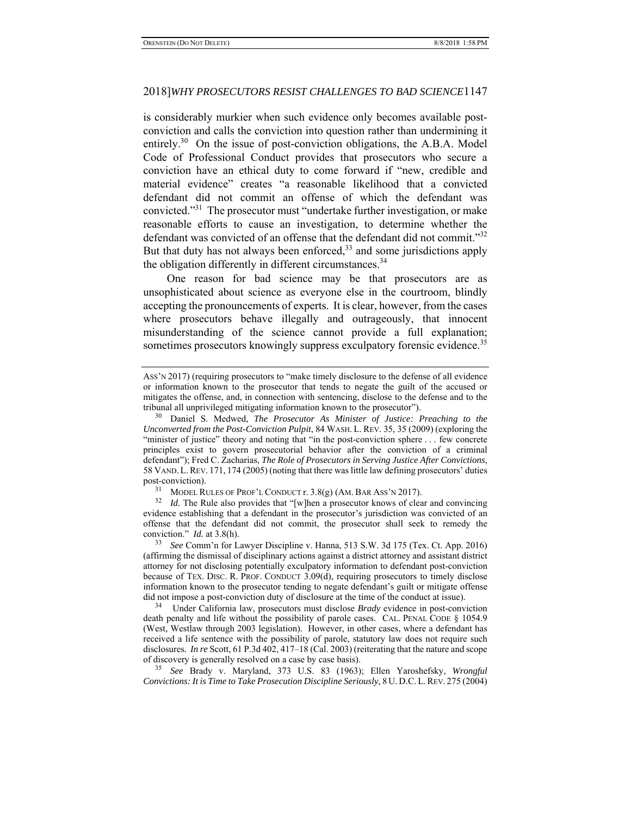is considerably murkier when such evidence only becomes available postconviction and calls the conviction into question rather than undermining it entirely.<sup>30</sup> On the issue of post-conviction obligations, the A.B.A. Model Code of Professional Conduct provides that prosecutors who secure a conviction have an ethical duty to come forward if "new, credible and material evidence" creates "a reasonable likelihood that a convicted defendant did not commit an offense of which the defendant was convicted."31 The prosecutor must "undertake further investigation, or make reasonable efforts to cause an investigation, to determine whether the defendant was convicted of an offense that the defendant did not commit."<sup>32</sup> But that duty has not always been enforced, $33$  and some jurisdictions apply the obligation differently in different circumstances. $34$ 

One reason for bad science may be that prosecutors are as unsophisticated about science as everyone else in the courtroom, blindly accepting the pronouncements of experts. It is clear, however, from the cases where prosecutors behave illegally and outrageously, that innocent misunderstanding of the science cannot provide a full explanation; sometimes prosecutors knowingly suppress exculpatory forensic evidence.<sup>35</sup>

34 Under California law, prosecutors must disclose *Brady* evidence in post-conviction death penalty and life without the possibility of parole cases. CAL. PENAL CODE § 1054.9 (West, Westlaw through 2003 legislation). However, in other cases, where a defendant has received a life sentence with the possibility of parole, statutory law does not require such disclosures*. In re* Scott, 61 P.3d 402, 417–18 (Cal. 2003) (reiterating that the nature and scope of discovery is generally resolved on a case by case basis).

35 *See* Brady v. Maryland, 373 U.S. 83 (1963); Ellen Yaroshefsky, *Wrongful Convictions: It is Time to Take Prosecution Discipline Seriously*, 8 U. D.C. L.REV. 275 (2004)

ASS'N 2017) (requiring prosecutors to "make timely disclosure to the defense of all evidence or information known to the prosecutor that tends to negate the guilt of the accused or mitigates the offense, and, in connection with sentencing, disclose to the defense and to the tribunal all unprivileged mitigating information known to the prosecutor").

<sup>30</sup> Daniel S. Medwed, *The Prosecutor As Minister of Justice: Preaching to the Unconverted from the Post-Conviction Pulpit*, 84 WASH. L. REV. 35, 35 (2009) (exploring the "minister of justice" theory and noting that "in the post-conviction sphere . . . few concrete principles exist to govern prosecutorial behavior after the conviction of a criminal defendant"); Fred C. Zacharias, *The Role of Prosecutors in Serving Justice After Convictions*, 58 VAND. L.REV. 171, 174 (2005) (noting that there was little law defining prosecutors' duties post-conviction).

<sup>&</sup>lt;sup>31</sup> MODEL RULES OF PROF'L CONDUCT  $r. 3.8(g)$  (AM. BAR ASS'N 2017).

<sup>&</sup>lt;sup>32</sup> *Id.* The Rule also provides that "[w]hen a prosecutor knows of clear and convincing evidence establishing that a defendant in the prosecutor's jurisdiction was convicted of an offense that the defendant did not commit, the prosecutor shall seek to remedy the conviction." *Id.* at 3.8(h).

<sup>33</sup> *See* Comm'n for Lawyer Discipline v. Hanna, 513 S.W. 3d 175 (Tex. Ct. App. 2016) (affirming the dismissal of disciplinary actions against a district attorney and assistant district attorney for not disclosing potentially exculpatory information to defendant post-conviction because of TEX. DISC. R. PROF. CONDUCT 3.09(d), requiring prosecutors to timely disclose information known to the prosecutor tending to negate defendant's guilt or mitigate offense did not impose a post-conviction duty of disclosure at the time of the conduct at issue).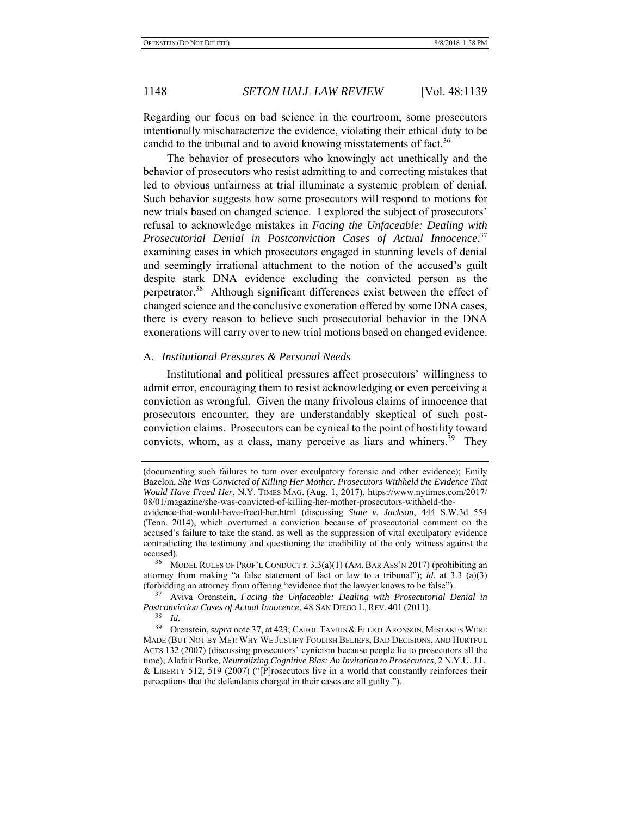Regarding our focus on bad science in the courtroom, some prosecutors intentionally mischaracterize the evidence, violating their ethical duty to be candid to the tribunal and to avoid knowing misstatements of fact.<sup>36</sup>

The behavior of prosecutors who knowingly act unethically and the behavior of prosecutors who resist admitting to and correcting mistakes that led to obvious unfairness at trial illuminate a systemic problem of denial. Such behavior suggests how some prosecutors will respond to motions for new trials based on changed science. I explored the subject of prosecutors' refusal to acknowledge mistakes in *Facing the Unfaceable: Dealing with Prosecutorial Denial in Postconviction Cases of Actual Innocence*, 37 examining cases in which prosecutors engaged in stunning levels of denial and seemingly irrational attachment to the notion of the accused's guilt despite stark DNA evidence excluding the convicted person as the perpetrator.<sup>38</sup> Although significant differences exist between the effect of changed science and the conclusive exoneration offered by some DNA cases, there is every reason to believe such prosecutorial behavior in the DNA exonerations will carry over to new trial motions based on changed evidence.

# A. *Institutional Pressures & Personal Needs*

Institutional and political pressures affect prosecutors' willingness to admit error, encouraging them to resist acknowledging or even perceiving a conviction as wrongful. Given the many frivolous claims of innocence that prosecutors encounter, they are understandably skeptical of such postconviction claims. Prosecutors can be cynical to the point of hostility toward convicts, whom, as a class, many perceive as liars and whiners.<sup>39</sup> They

<sup>(</sup>documenting such failures to turn over exculpatory forensic and other evidence); Emily Bazelon, *She Was Convicted of Killing Her Mother. Prosecutors Withheld the Evidence That Would Have Freed Her*, N.Y. TIMES MAG. (Aug. 1, 2017), https://www.nytimes.com/2017/ 08/01/magazine/she-was-convicted-of-killing-her-mother-prosecutors-withheld-the-

evidence-that-would-have-freed-her.html (discussing *State v. Jackson*, 444 S.W.3d 554 (Tenn. 2014), which overturned a conviction because of prosecutorial comment on the accused's failure to take the stand, as well as the suppression of vital exculpatory evidence contradicting the testimony and questioning the credibility of the only witness against the accused).

<sup>36</sup> MODEL RULES OF PROF'L CONDUCT r. 3.3(a)(1) (AM. BAR ASS'N 2017) (prohibiting an attorney from making "a false statement of fact or law to a tribunal"); *id.* at 3.3 (a)(3) (forbidding an attorney from offering "evidence that the lawyer knows to be false").

<sup>37</sup> Aviva Orenstein, *Facing the Unfaceable: Dealing with Prosecutorial Denial in Postconviction Cases of Actual Innocence*, 48 SAN DIEGO L. REV. 401 (2011).

 $rac{38}{39}$  *Id.* 

Orenstein, *supra* note 37, at 423; CAROL TAVRIS & ELLIOT ARONSON, MISTAKES WERE MADE (BUT NOT BY ME): WHY WE JUSTIFY FOOLISH BELIEFS, BAD DECISIONS, AND HURTFUL ACTS 132 (2007) (discussing prosecutors' cynicism because people lie to prosecutors all the time); Alafair Burke, *Neutralizing Cognitive Bias: An Invitation to Prosecutors*, 2 N.Y.U. J.L. & LIBERTY 512, 519 (2007) ("[P]rosecutors live in a world that constantly reinforces their perceptions that the defendants charged in their cases are all guilty.").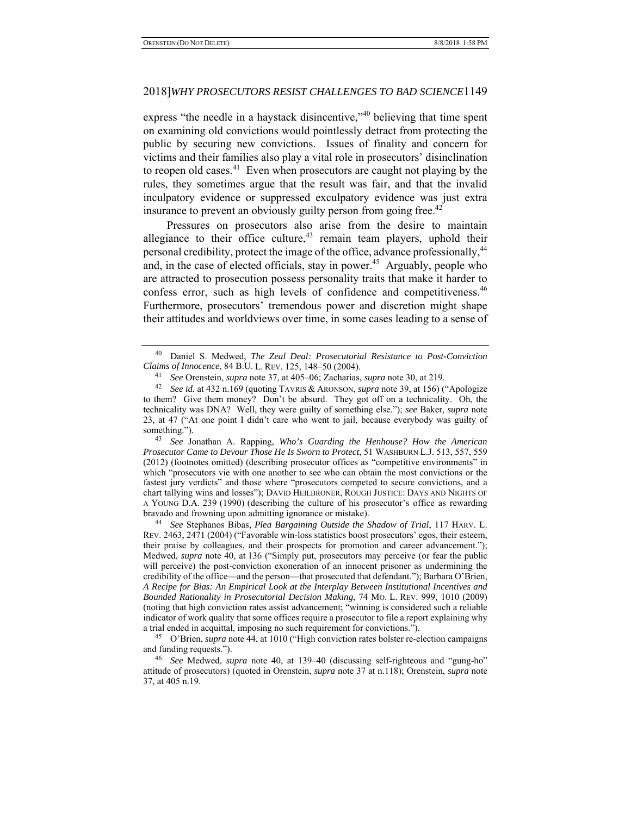express "the needle in a haystack disincentive,"<sup>40</sup> believing that time spent on examining old convictions would pointlessly detract from protecting the public by securing new convictions. Issues of finality and concern for victims and their families also play a vital role in prosecutors' disinclination to reopen old cases. $^{41}$  Even when prosecutors are caught not playing by the rules, they sometimes argue that the result was fair, and that the invalid inculpatory evidence or suppressed exculpatory evidence was just extra insurance to prevent an obviously guilty person from going free.<sup>42</sup>

Pressures on prosecutors also arise from the desire to maintain allegiance to their office culture, $43$  remain team players, uphold their personal credibility, protect the image of the office, advance professionally,<sup>44</sup> and, in the case of elected officials, stay in power.<sup>45</sup> Arguably, people who are attracted to prosecution possess personality traits that make it harder to confess error, such as high levels of confidence and competitiveness.<sup>46</sup> Furthermore, prosecutors' tremendous power and discretion might shape their attitudes and worldviews over time, in some cases leading to a sense of

43 *See* Jonathan A. Rapping, *Who's Guarding the Henhouse? How the American Prosecutor Came to Devour Those He Is Sworn to Protect*, 51 WASHBURN L.J. 513, 557, 559 (2012) (footnotes omitted) (describing prosecutor offices as "competitive environments" in which "prosecutors vie with one another to see who can obtain the most convictions or the fastest jury verdicts" and those where "prosecutors competed to secure convictions, and a chart tallying wins and losses"); DAVID HEILBRONER, ROUGH JUSTICE: DAYS AND NIGHTS OF A YOUNG D.A. 239 (1990) (describing the culture of his prosecutor's office as rewarding bravado and frowning upon admitting ignorance or mistake).

<sup>44</sup> See Stephanos Bibas, Plea Bargaining Outside the Shadow of Trial, 117 HARV. L. REV. 2463, 2471 (2004) ("Favorable win-loss statistics boost prosecutors' egos, their esteem, their praise by colleagues, and their prospects for promotion and career advancement."); Medwed, *supra* note 40, at 136 ("Simply put, prosecutors may perceive (or fear the public will perceive) the post-conviction exoneration of an innocent prisoner as undermining the credibility of the office—and the person—that prosecuted that defendant."); Barbara O'Brien, *A Recipe for Bias: An Empirical Look at the Interplay Between Institutional Incentives and Bounded Rationality in Prosecutorial Decision Making*, 74 MO. L. REV. 999, 1010 (2009) (noting that high conviction rates assist advancement; "winning is considered such a reliable indicator of work quality that some offices require a prosecutor to file a report explaining why a trial ended in acquittal, imposing no such requirement for convictions.").

45 O'Brien, *supra* note 44, at 1010 ("High conviction rates bolster re-election campaigns and funding requests.").

46 *See* Medwed, *supra* note 40, at 139–40 (discussing self-righteous and "gung-ho" attitude of prosecutors) (quoted in Orenstein, *supra* note 37 at n.118); Orenstein, *supra* note 37, at 405 n.19.

<sup>40</sup> Daniel S. Medwed, *The Zeal Deal: Prosecutorial Resistance to Post-Conviction* 

Claims of Innocence, 84 B.U. L. REV. 125, 148–50 (2004).<br><sup>41</sup> See Orenstein, *supra* note 37, at 405–06; Zacharias, *supra* note 30, at 219.<br><sup>42</sup> See id. at 432 n.169 (quoting TAVRIS & ARONSON, *supra* note 39, at 156) (" to them? Give them money? Don't be absurd. They got off on a technicality. Oh, the technicality was DNA? Well, they were guilty of something else."); *see* Baker, *supra* note 23, at 47 ("At one point I didn't care who went to jail, because everybody was guilty of something.").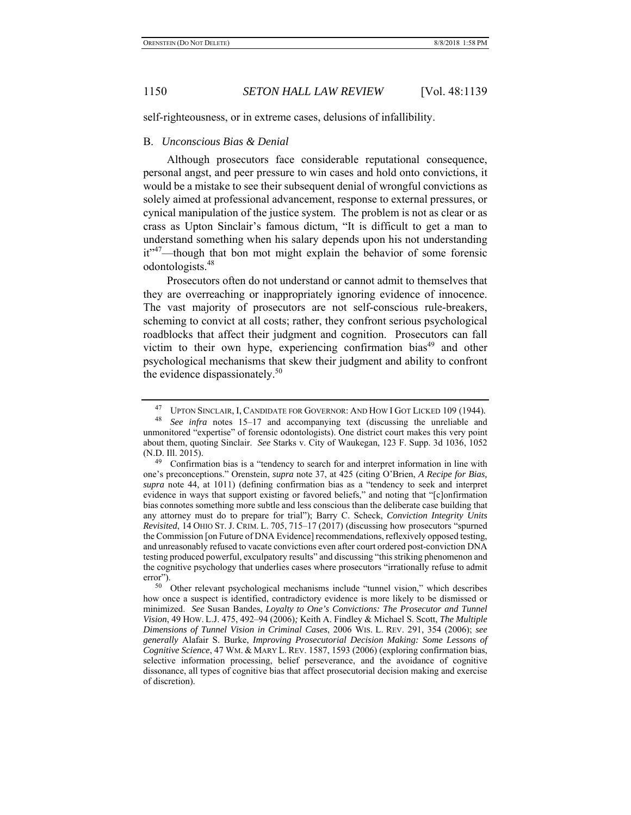self-righteousness, or in extreme cases, delusions of infallibility.

### B. *Unconscious Bias & Denial*

Although prosecutors face considerable reputational consequence, personal angst, and peer pressure to win cases and hold onto convictions, it would be a mistake to see their subsequent denial of wrongful convictions as solely aimed at professional advancement, response to external pressures, or cynical manipulation of the justice system. The problem is not as clear or as crass as Upton Sinclair's famous dictum, "It is difficult to get a man to understand something when his salary depends upon his not understanding  $it^{37}$ —though that bon mot might explain the behavior of some forensic odontologists.48

Prosecutors often do not understand or cannot admit to themselves that they are overreaching or inappropriately ignoring evidence of innocence. The vast majority of prosecutors are not self-conscious rule-breakers, scheming to convict at all costs; rather, they confront serious psychological roadblocks that affect their judgment and cognition. Prosecutors can fall victim to their own hype, experiencing confirmation bias<sup>49</sup> and other psychological mechanisms that skew their judgment and ability to confront the evidence dispassionately. $50$ 

<sup>&</sup>lt;sup>47</sup> UPTON SINCLAIR, I, CANDIDATE FOR GOVERNOR: AND HOW I GOT LICKED 109 (1944).

See infra notes 15–17 and accompanying text (discussing the unreliable and unmonitored "expertise" of forensic odontologists). One district court makes this very point about them, quoting Sinclair. *See* Starks v. City of Waukegan, 123 F. Supp. 3d 1036, 1052 (N.D. Ill. 2015).

 $49$  Confirmation bias is a "tendency to search for and interpret information in line with one's preconceptions." Orenstein, *supra* note 37, at 425 (citing O'Brien, *A Recipe for Bias, supra* note 44, at 1011) (defining confirmation bias as a "tendency to seek and interpret evidence in ways that support existing or favored beliefs," and noting that "[c]onfirmation bias connotes something more subtle and less conscious than the deliberate case building that any attorney must do to prepare for trial"); Barry C. Scheck, *Conviction Integrity Units Revisited*, 14 OHIO ST. J. CRIM. L. 705, 715–17 (2017) (discussing how prosecutors "spurned the Commission [on Future of DNA Evidence] recommendations, reflexively opposed testing, and unreasonably refused to vacate convictions even after court ordered post-conviction DNA testing produced powerful, exculpatory results" and discussing "this striking phenomenon and the cognitive psychology that underlies cases where prosecutors "irrationally refuse to admit error").

<sup>50</sup> Other relevant psychological mechanisms include "tunnel vision," which describes how once a suspect is identified, contradictory evidence is more likely to be dismissed or minimized. *See* Susan Bandes, *Loyalty to One's Convictions: The Prosecutor and Tunnel Vision*, 49 HOW. L.J. 475, 492–94 (2006)*;* Keith A. Findley & Michael S. Scott, *The Multiple Dimensions of Tunnel Vision in Criminal Cases*, 2006 WIS. L. REV. 291, 354 (2006); *see generally* Alafair S. Burke, *Improving Prosecutorial Decision Making: Some Lessons of Cognitive Science*, 47 WM. & MARY L. REV. 1587, 1593 (2006) (exploring confirmation bias, selective information processing, belief perseverance, and the avoidance of cognitive dissonance, all types of cognitive bias that affect prosecutorial decision making and exercise of discretion).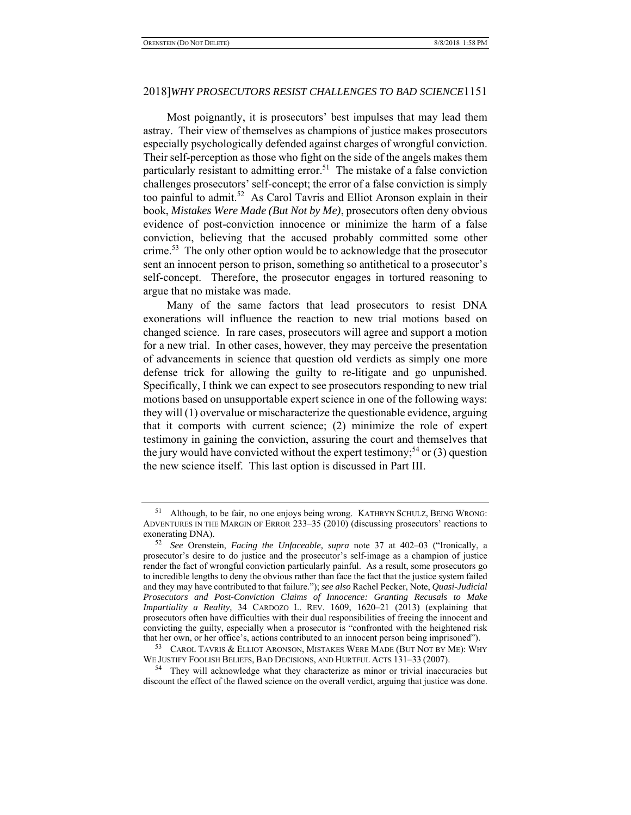Most poignantly, it is prosecutors' best impulses that may lead them astray. Their view of themselves as champions of justice makes prosecutors especially psychologically defended against charges of wrongful conviction. Their self-perception as those who fight on the side of the angels makes them particularly resistant to admitting error.<sup>51</sup> The mistake of a false conviction challenges prosecutors' self-concept; the error of a false conviction is simply too painful to admit.<sup>52</sup> As Carol Tavris and Elliot Aronson explain in their book, *Mistakes Were Made (But Not by Me)*, prosecutors often deny obvious evidence of post-conviction innocence or minimize the harm of a false conviction, believing that the accused probably committed some other crime.<sup>53</sup> The only other option would be to acknowledge that the prosecutor sent an innocent person to prison, something so antithetical to a prosecutor's self-concept. Therefore, the prosecutor engages in tortured reasoning to argue that no mistake was made.

Many of the same factors that lead prosecutors to resist DNA exonerations will influence the reaction to new trial motions based on changed science. In rare cases, prosecutors will agree and support a motion for a new trial. In other cases, however, they may perceive the presentation of advancements in science that question old verdicts as simply one more defense trick for allowing the guilty to re-litigate and go unpunished. Specifically, I think we can expect to see prosecutors responding to new trial motions based on unsupportable expert science in one of the following ways: they will (1) overvalue or mischaracterize the questionable evidence, arguing that it comports with current science; (2) minimize the role of expert testimony in gaining the conviction, assuring the court and themselves that the jury would have convicted without the expert testimony;<sup>54</sup> or (3) question the new science itself. This last option is discussed in Part III.

<sup>53</sup> CAROL TAVRIS & ELLIOT ARONSON, MISTAKES WERE MADE (BUT NOT BY ME): WHY WE JUSTIFY FOOLISH BELIEFS, BAD DECISIONS, AND HURTFUL ACTS 131–33 (2007).

<sup>54</sup> They will acknowledge what they characterize as minor or trivial inaccuracies but discount the effect of the flawed science on the overall verdict, arguing that justice was done.

<sup>&</sup>lt;sup>51</sup> Although, to be fair, no one enjoys being wrong. KATHRYN SCHULZ, BEING WRONG: ADVENTURES IN THE MARGIN OF ERROR 233–35 (2010) (discussing prosecutors' reactions to exonerating DNA).

<sup>52</sup> *See* Orenstein, *Facing the Unfaceable, supra* note 37 at 402–03 ("Ironically, a prosecutor's desire to do justice and the prosecutor's self-image as a champion of justice render the fact of wrongful conviction particularly painful. As a result, some prosecutors go to incredible lengths to deny the obvious rather than face the fact that the justice system failed and they may have contributed to that failure."); *see also* Rachel Pecker, Note, *Quasi-Judicial Prosecutors and Post-Conviction Claims of Innocence: Granting Recusals to Make Impartiality a Reality,* 34 CARDOZO L. REV. 1609, 1620–21 (2013) (explaining that prosecutors often have difficulties with their dual responsibilities of freeing the innocent and convicting the guilty, especially when a prosecutor is "confronted with the heightened risk that her own, or her office's, actions contributed to an innocent person being imprisoned").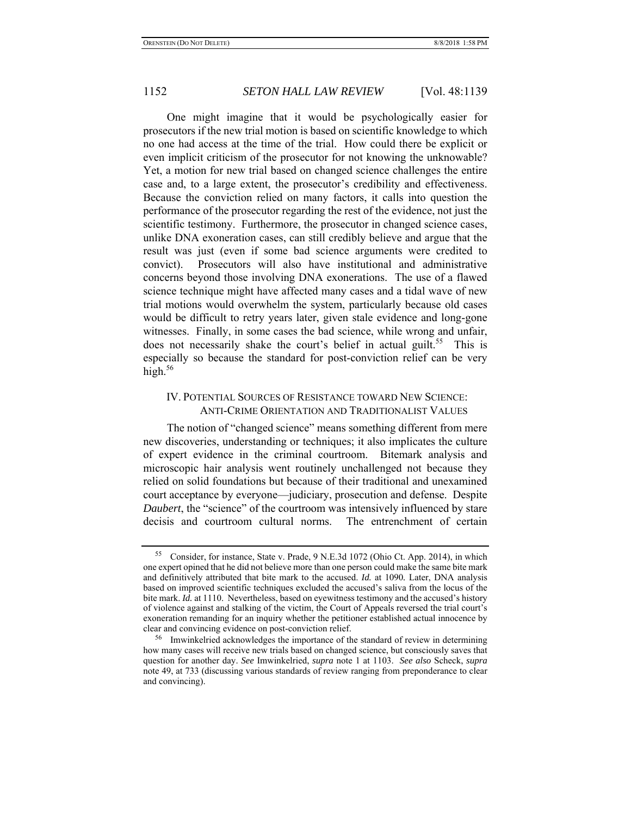One might imagine that it would be psychologically easier for prosecutors if the new trial motion is based on scientific knowledge to which no one had access at the time of the trial. How could there be explicit or even implicit criticism of the prosecutor for not knowing the unknowable? Yet, a motion for new trial based on changed science challenges the entire case and, to a large extent, the prosecutor's credibility and effectiveness. Because the conviction relied on many factors, it calls into question the performance of the prosecutor regarding the rest of the evidence, not just the scientific testimony. Furthermore, the prosecutor in changed science cases, unlike DNA exoneration cases, can still credibly believe and argue that the result was just (even if some bad science arguments were credited to convict). Prosecutors will also have institutional and administrative concerns beyond those involving DNA exonerations. The use of a flawed science technique might have affected many cases and a tidal wave of new trial motions would overwhelm the system, particularly because old cases would be difficult to retry years later, given stale evidence and long-gone witnesses. Finally, in some cases the bad science, while wrong and unfair, does not necessarily shake the court's belief in actual guilt.<sup>55</sup> This is especially so because the standard for post-conviction relief can be very high. $56$ 

# IV. POTENTIAL SOURCES OF RESISTANCE TOWARD NEW SCIENCE: ANTI-CRIME ORIENTATION AND TRADITIONALIST VALUES

The notion of "changed science" means something different from mere new discoveries, understanding or techniques; it also implicates the culture of expert evidence in the criminal courtroom. Bitemark analysis and microscopic hair analysis went routinely unchallenged not because they relied on solid foundations but because of their traditional and unexamined court acceptance by everyone—judiciary, prosecution and defense. Despite *Daubert*, the "science" of the courtroom was intensively influenced by stare decisis and courtroom cultural norms. The entrenchment of certain

<sup>55</sup> Consider, for instance, State v. Prade, 9 N.E.3d 1072 (Ohio Ct. App. 2014), in which one expert opined that he did not believe more than one person could make the same bite mark and definitively attributed that bite mark to the accused. *Id.* at 1090*.* Later, DNA analysis based on improved scientific techniques excluded the accused's saliva from the locus of the bite mark. *Id.* at 1110. Nevertheless, based on eyewitness testimony and the accused's history of violence against and stalking of the victim, the Court of Appeals reversed the trial court's exoneration remanding for an inquiry whether the petitioner established actual innocence by clear and convincing evidence on post-conviction relief.

<sup>56</sup> Imwinkelried acknowledges the importance of the standard of review in determining how many cases will receive new trials based on changed science, but consciously saves that question for another day. *See* Imwinkelried, *supra* note 1 at 1103. *See also* Scheck, *supra*  note 49, at 733 (discussing various standards of review ranging from preponderance to clear and convincing).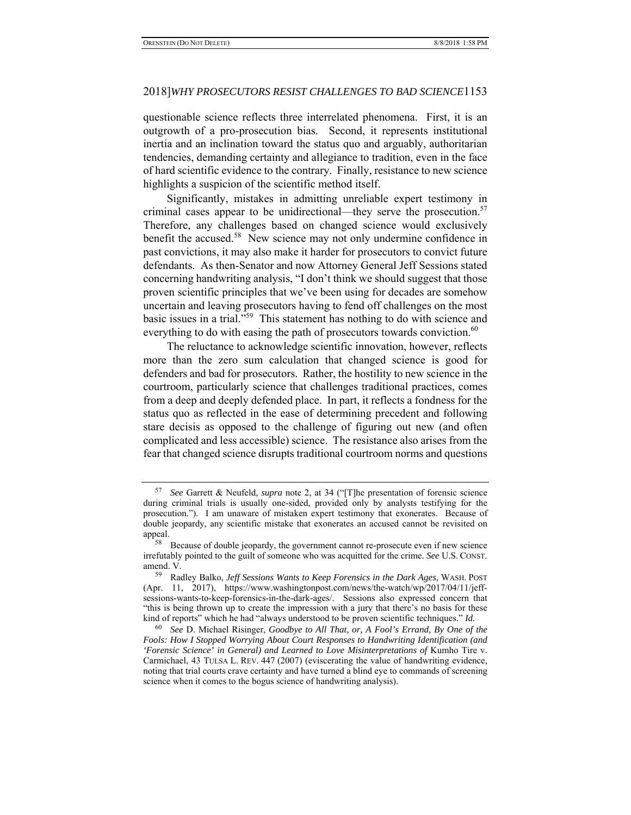questionable science reflects three interrelated phenomena. First, it is an outgrowth of a pro-prosecution bias. Second, it represents institutional inertia and an inclination toward the status quo and arguably, authoritarian tendencies, demanding certainty and allegiance to tradition, even in the face of hard scientific evidence to the contrary. Finally, resistance to new science highlights a suspicion of the scientific method itself.

Significantly, mistakes in admitting unreliable expert testimony in criminal cases appear to be unidirectional—they serve the prosecution.<sup>57</sup> Therefore, any challenges based on changed science would exclusively benefit the accused.<sup>58</sup> New science may not only undermine confidence in past convictions, it may also make it harder for prosecutors to convict future defendants. As then-Senator and now Attorney General Jeff Sessions stated concerning handwriting analysis, "I don't think we should suggest that those proven scientific principles that we've been using for decades are somehow uncertain and leaving prosecutors having to fend off challenges on the most basic issues in a trial."59 This statement has nothing to do with science and everything to do with easing the path of prosecutors towards conviction.<sup>60</sup>

The reluctance to acknowledge scientific innovation, however, reflects more than the zero sum calculation that changed science is good for defenders and bad for prosecutors. Rather, the hostility to new science in the courtroom, particularly science that challenges traditional practices, comes from a deep and deeply defended place. In part, it reflects a fondness for the status quo as reflected in the ease of determining precedent and following stare decisis as opposed to the challenge of figuring out new (and often complicated and less accessible) science. The resistance also arises from the fear that changed science disrupts traditional courtroom norms and questions

<sup>57</sup> *See* Garrett & Neufeld, *supra* note 2, at 34 ("[T]he presentation of forensic science during criminal trials is usually one-sided, provided only by analysts testifying for the prosecution."). I am unaware of mistaken expert testimony that exonerates. Because of double jeopardy, any scientific mistake that exonerates an accused cannot be revisited on appeal.

<sup>58</sup> Because of double jeopardy, the government cannot re-prosecute even if new science irrefutably pointed to the guilt of someone who was acquitted for the crime. *See* U.S. CONST. amend. V.

<sup>59</sup> Radley Balko, *Jeff Sessions Wants to Keep Forensics in the Dark Ages*, WASH. POST (Apr. 11, 2017), https://www.washingtonpost.com/news/the-watch/wp/2017/04/11/jeffsessions-wants-to-keep-forensics-in-the-dark-ages/. Sessions also expressed concern that "this is being thrown up to create the impression with a jury that there's no basis for these kind of reports" which he had "always understood to be proven scientific techniques." *Id.* 60 *See* D. Michael Risinger, *Goodbye to All That, or, A Fool's Errand, By One of the* 

*Fools: How I Stopped Worrying About Court Responses to Handwriting Identification (and*  'Forensic Science' in General) and Learned to Love Misinterpretations of Kumho Tire v. Carmichael, 43 TULSA L. REV. 447 (2007) (eviscerating the value of handwriting evidence, noting that trial courts crave certainty and have turned a blind eye to commands of screening science when it comes to the bogus science of handwriting analysis).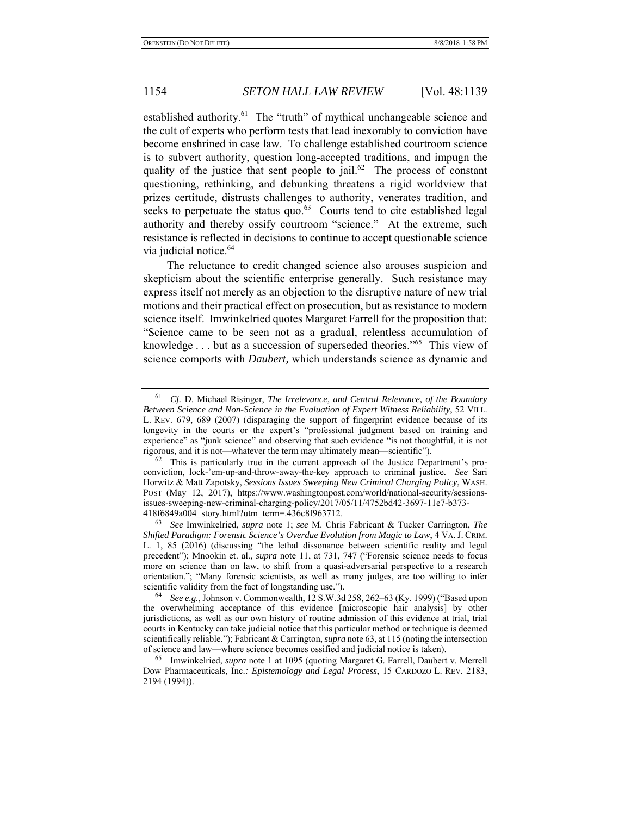established authority.<sup>61</sup> The "truth" of mythical unchangeable science and the cult of experts who perform tests that lead inexorably to conviction have become enshrined in case law. To challenge established courtroom science is to subvert authority, question long-accepted traditions, and impugn the quality of the justice that sent people to jail.<sup>62</sup> The process of constant questioning, rethinking, and debunking threatens a rigid worldview that prizes certitude, distrusts challenges to authority, venerates tradition, and seeks to perpetuate the status quo. $63$  Courts tend to cite established legal authority and thereby ossify courtroom "science." At the extreme, such resistance is reflected in decisions to continue to accept questionable science via judicial notice.<sup>64</sup>

The reluctance to credit changed science also arouses suspicion and skepticism about the scientific enterprise generally. Such resistance may express itself not merely as an objection to the disruptive nature of new trial motions and their practical effect on prosecution, but as resistance to modern science itself. Imwinkelried quotes Margaret Farrell for the proposition that: "Science came to be seen not as a gradual, relentless accumulation of knowledge . . . but as a succession of superseded theories."<sup>65</sup> This view of science comports with *Daubert,* which understands science as dynamic and

<sup>61</sup> *Cf.* D. Michael Risinger, *The Irrelevance, and Central Relevance, of the Boundary Between Science and Non-Science in the Evaluation of Expert Witness Reliability*, 52 VILL. L. REV. 679, 689 (2007) (disparaging the support of fingerprint evidence because of its longevity in the courts or the expert's "professional judgment based on training and experience" as "junk science" and observing that such evidence "is not thoughtful, it is not rigorous, and it is not—whatever the term may ultimately mean—scientific").

<sup>&</sup>lt;sup>62</sup> This is particularly true in the current approach of the Justice Department's proconviction, lock-'em-up-and-throw-away-the-key approach to criminal justice. *See* Sari Horwitz & Matt Zapotsky, *Sessions Issues Sweeping New Criminal Charging Policy*, WASH. POST (May 12, 2017), https://www.washingtonpost.com/world/national-security/sessionsissues-sweeping-new-criminal-charging-policy/2017/05/11/4752bd42-3697-11e7-b373- 418f6849a004\_story.html?utm\_term=.436c8f963712.

<sup>63</sup> *See* Imwinkelried, *supra* note 1; *see* M. Chris Fabricant & Tucker Carrington, *The Shifted Paradigm: Forensic Science's Overdue Evolution from Magic to Law*, 4 VA. J. CRIM. L. 1, 85 (2016) (discussing "the lethal dissonance between scientific reality and legal precedent"); Mnookin et. al., *supra* note 11, at 731, 747 ("Forensic science needs to focus more on science than on law, to shift from a quasi-adversarial perspective to a research orientation."; "Many forensic scientists, as well as many judges, are too willing to infer scientific validity from the fact of longstanding use.").

<sup>64</sup> *See e.g.*, Johnson v. Commonwealth, 12 S.W.3d 258, 262–63 (Ky. 1999) ("Based upon the overwhelming acceptance of this evidence [microscopic hair analysis] by other jurisdictions, as well as our own history of routine admission of this evidence at trial, trial courts in Kentucky can take judicial notice that this particular method or technique is deemed scientifically reliable."); Fabricant & Carrington, *supra* note 63, at 115 (noting the intersection of science and law—where science becomes ossified and judicial notice is taken).

<sup>65</sup> Imwinkelried, *supra* note 1 at 1095 (quoting Margaret G. Farrell, Daubert v. Merrell Dow Pharmaceuticals, Inc.*: Epistemology and Legal Process*, 15 CARDOZO L. REV. 2183, 2194 (1994)).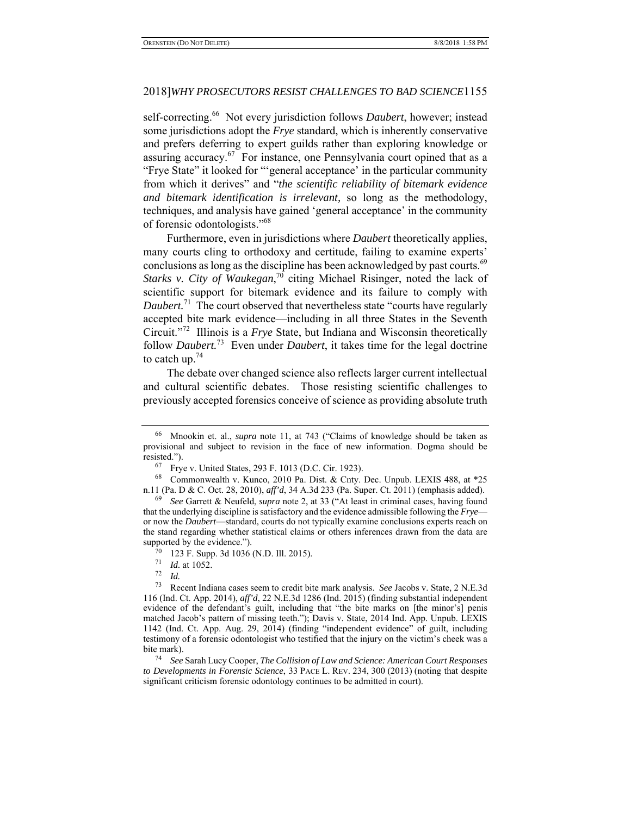self-correcting.66 Not every jurisdiction follows *Daubert*, however; instead some jurisdictions adopt the *Frye* standard, which is inherently conservative and prefers deferring to expert guilds rather than exploring knowledge or assuring accuracy. $67$  For instance, one Pennsylvania court opined that as a "Frye State" it looked for "'general acceptance' in the particular community from which it derives" and "*the scientific reliability of bitemark evidence and bitemark identification is irrelevant,* so long as the methodology, techniques, and analysis have gained 'general acceptance' in the community of forensic odontologists."68

Furthermore, even in jurisdictions where *Daubert* theoretically applies, many courts cling to orthodoxy and certitude, failing to examine experts' conclusions as long as the discipline has been acknowledged by past courts.<sup>69</sup> *Starks v. City of Waukegan*, 70 citing Michael Risinger, noted the lack of scientific support for bitemark evidence and its failure to comply with *Daubert.*<sup>71</sup> The court observed that nevertheless state "courts have regularly accepted bite mark evidence—including in all three States in the Seventh Circuit."72 Illinois is a *Frye* State, but Indiana and Wisconsin theoretically follow *Daubert.*73 Even under *Daubert*, it takes time for the legal doctrine to catch up.74

The debate over changed science also reflects larger current intellectual and cultural scientific debates. Those resisting scientific challenges to previously accepted forensics conceive of science as providing absolute truth

<sup>66</sup> Mnookin et. al., *supra* note 11, at 743 ("Claims of knowledge should be taken as provisional and subject to revision in the face of new information. Dogma should be resisted.").

<sup>67</sup> Frye v. United States, 293 F. 1013 (D.C. Cir. 1923).

<sup>68</sup> Commonwealth v. Kunco, 2010 Pa. Dist. & Cnty. Dec. Unpub. LEXIS 488, at \*25 n.11 (Pa. D & C. Oct. 28, 2010), *aff'd*, 34 A.3d 233 (Pa. Super. Ct. 2011) (emphasis added).

<sup>69</sup> *See* Garrett & Neufeld, *supra* note 2, at 33 ("At least in criminal cases, having found that the underlying discipline is satisfactory and the evidence admissible following the *Frye* or now the *Daubert*—standard, courts do not typically examine conclusions experts reach on the stand regarding whether statistical claims or others inferences drawn from the data are supported by the evidence.").

 $^{70}$  123 F. Supp. 3d 1036 (N.D. Ill. 2015).

 $\frac{71}{72}$  *Id.* at 1052.

*Id.* 

<sup>73</sup> Recent Indiana cases seem to credit bite mark analysis. *See* Jacobs v. State, 2 N.E.3d 116 (Ind. Ct. App. 2014), *aff'd*, 22 N.E.3d 1286 (Ind. 2015) (finding substantial independent evidence of the defendant's guilt, including that "the bite marks on [the minor's] penis matched Jacob's pattern of missing teeth."); Davis v. State, 2014 Ind. App. Unpub. LEXIS 1142 (Ind. Ct. App. Aug. 29, 2014) (finding "independent evidence" of guilt, including testimony of a forensic odontologist who testified that the injury on the victim's cheek was a bite mark).

<sup>74</sup> *See* Sarah Lucy Cooper, *The Collision of Law and Science: American Court Responses to Developments in Forensic Science*, 33 PACE L. REV. 234, 300 (2013) (noting that despite significant criticism forensic odontology continues to be admitted in court).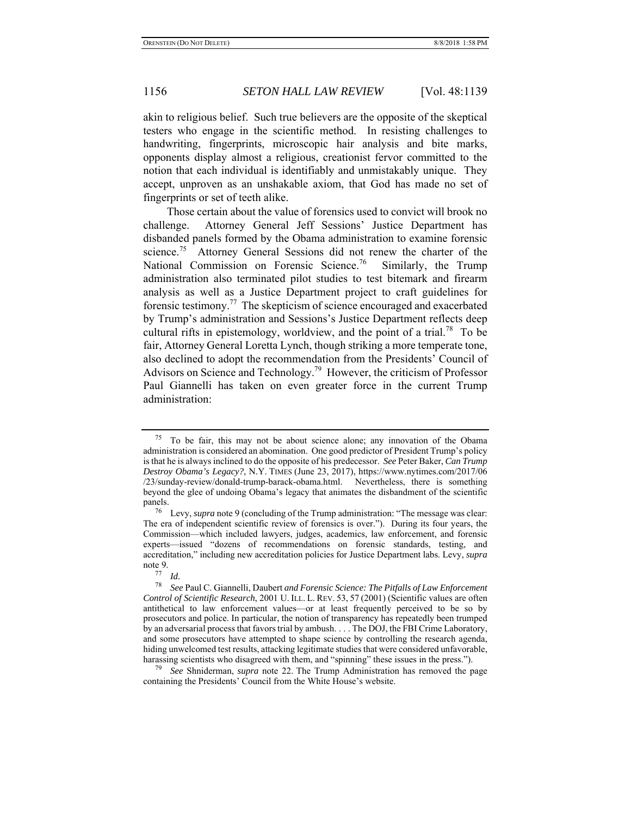akin to religious belief. Such true believers are the opposite of the skeptical testers who engage in the scientific method. In resisting challenges to handwriting, fingerprints, microscopic hair analysis and bite marks, opponents display almost a religious, creationist fervor committed to the notion that each individual is identifiably and unmistakably unique. They accept, unproven as an unshakable axiom, that God has made no set of fingerprints or set of teeth alike.

Those certain about the value of forensics used to convict will brook no challenge. Attorney General Jeff Sessions' Justice Department has disbanded panels formed by the Obama administration to examine forensic science.<sup>75</sup> Attorney General Sessions did not renew the charter of the National Commission on Forensic Science.<sup>76</sup> Similarly, the Trump administration also terminated pilot studies to test bitemark and firearm analysis as well as a Justice Department project to craft guidelines for forensic testimony.77 The skepticism of science encouraged and exacerbated by Trump's administration and Sessions's Justice Department reflects deep cultural rifts in epistemology, worldview, and the point of a trial.<sup>78</sup> To be fair, Attorney General Loretta Lynch, though striking a more temperate tone, also declined to adopt the recommendation from the Presidents' Council of Advisors on Science and Technology.<sup>79</sup> However, the criticism of Professor Paul Giannelli has taken on even greater force in the current Trump administration:

 $75$  To be fair, this may not be about science alone; any innovation of the Obama administration is considered an abomination. One good predictor of President Trump's policy is that he is always inclined to do the opposite of his predecessor. *See* Peter Baker, *Can Trump Destroy Obama's Legacy?*, N.Y. TIMES (June 23, 2017), https://www.nytimes.com/2017/06 /23/sunday-review/donald-trump-barack-obama.html. Nevertheless, there is something beyond the glee of undoing Obama's legacy that animates the disbandment of the scientific panels.

<sup>76</sup> Levy, *supra* note 9 (concluding of the Trump administration: "The message was clear: The era of independent scientific review of forensics is over."). During its four years, the Commission—which included lawyers, judges, academics, law enforcement, and forensic experts—issued "dozens of recommendations on forensic standards, testing, and accreditation," including new accreditation policies for Justice Department labs. Levy, *supra*  note 9.<br> $\frac{77}{10}$  *Id.* 

<sup>77</sup>*Id.* 78 *See* Paul C. Giannelli, Daubert *and Forensic Science: The Pitfalls of Law Enforcement Control of Scientific Research*, 2001 U. ILL. L. REV. 53, 57 (2001) (Scientific values are often antithetical to law enforcement values—or at least frequently perceived to be so by prosecutors and police. In particular, the notion of transparency has repeatedly been trumped by an adversarial process that favors trial by ambush. . . . The DOJ, the FBI Crime Laboratory, and some prosecutors have attempted to shape science by controlling the research agenda, hiding unwelcomed test results, attacking legitimate studies that were considered unfavorable, harassing scientists who disagreed with them, and "spinning" these issues in the press.").

<sup>79</sup> *See* Shniderman, *supra* note 22. The Trump Administration has removed the page containing the Presidents' Council from the White House's website.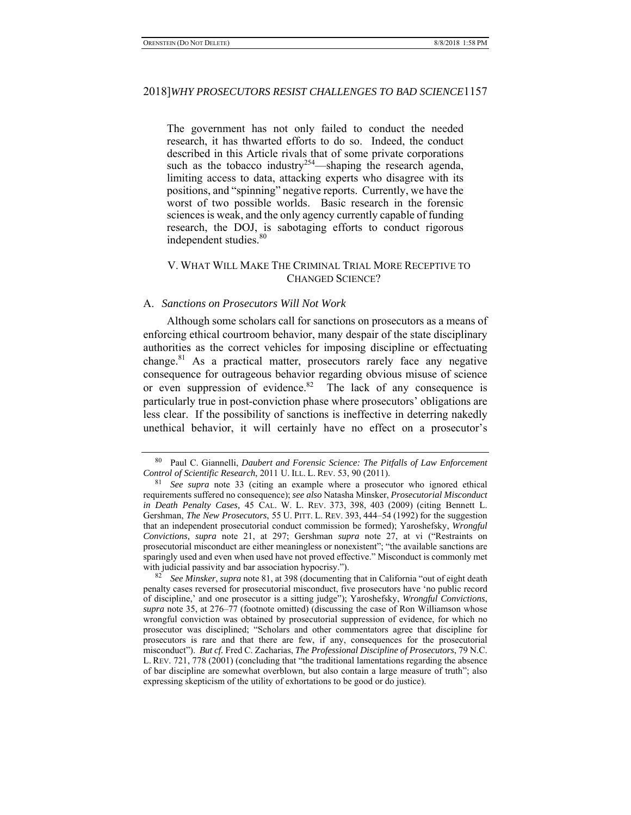The government has not only failed to conduct the needed research, it has thwarted efforts to do so. Indeed, the conduct described in this Article rivals that of some private corporations such as the tobacco industry<sup>254</sup>—shaping the research agenda, limiting access to data, attacking experts who disagree with its positions, and "spinning" negative reports. Currently, we have the worst of two possible worlds. Basic research in the forensic sciences is weak, and the only agency currently capable of funding research, the DOJ, is sabotaging efforts to conduct rigorous independent studies.<sup>80</sup>

### V. WHAT WILL MAKE THE CRIMINAL TRIAL MORE RECEPTIVE TO CHANGED SCIENCE?

#### A. *Sanctions on Prosecutors Will Not Work*

Although some scholars call for sanctions on prosecutors as a means of enforcing ethical courtroom behavior, many despair of the state disciplinary authorities as the correct vehicles for imposing discipline or effectuating change.<sup>81</sup> As a practical matter, prosecutors rarely face any negative consequence for outrageous behavior regarding obvious misuse of science or even suppression of evidence.<sup>82</sup> The lack of any consequence is particularly true in post-conviction phase where prosecutors' obligations are less clear. If the possibility of sanctions is ineffective in deterring nakedly unethical behavior, it will certainly have no effect on a prosecutor's

<sup>80</sup> Paul C. Giannelli, *Daubert and Forensic Science: The Pitfalls of Law Enforcement Control of Scientific Research*, 2011 U. ILL. L. REV. 53, 90 (2011).

<sup>81</sup> *See supra* note 33 (citing an example where a prosecutor who ignored ethical requirements suffered no consequence); *see also* Natasha Minsker, *Prosecutorial Misconduct in Death Penalty Cases,* 45 CAL. W. L. REV. 373, 398, 403 (2009) (citing Bennett L. Gershman, *The New Prosecutors*, 55 U. PITT. L. REV. 393, 444–54 (1992) for the suggestion that an independent prosecutorial conduct commission be formed); Yaroshefsky, *Wrongful Convictions, supra* note 21, at 297; Gershman *supra* note 27, at vi ("Restraints on prosecutorial misconduct are either meaningless or nonexistent"; "the available sanctions are sparingly used and even when used have not proved effective." Misconduct is commonly met with judicial passivity and bar association hypocrisy.").

<sup>82</sup> *See Minsker*, *supra* note 81, at 398 (documenting that in California "out of eight death penalty cases reversed for prosecutorial misconduct, five prosecutors have 'no public record of discipline,' and one prosecutor is a sitting judge"); Yaroshefsky, *Wrongful Convictions*, *supra* note 35, at 276–77 (footnote omitted) (discussing the case of Ron Williamson whose wrongful conviction was obtained by prosecutorial suppression of evidence, for which no prosecutor was disciplined; "Scholars and other commentators agree that discipline for prosecutors is rare and that there are few, if any, consequences for the prosecutorial misconduct"). *But cf.* Fred C. Zacharias, *The Professional Discipline of Prosecutors*, 79 N.C. L. REV. 721, 778 (2001) (concluding that "the traditional lamentations regarding the absence of bar discipline are somewhat overblown, but also contain a large measure of truth"; also expressing skepticism of the utility of exhortations to be good or do justice).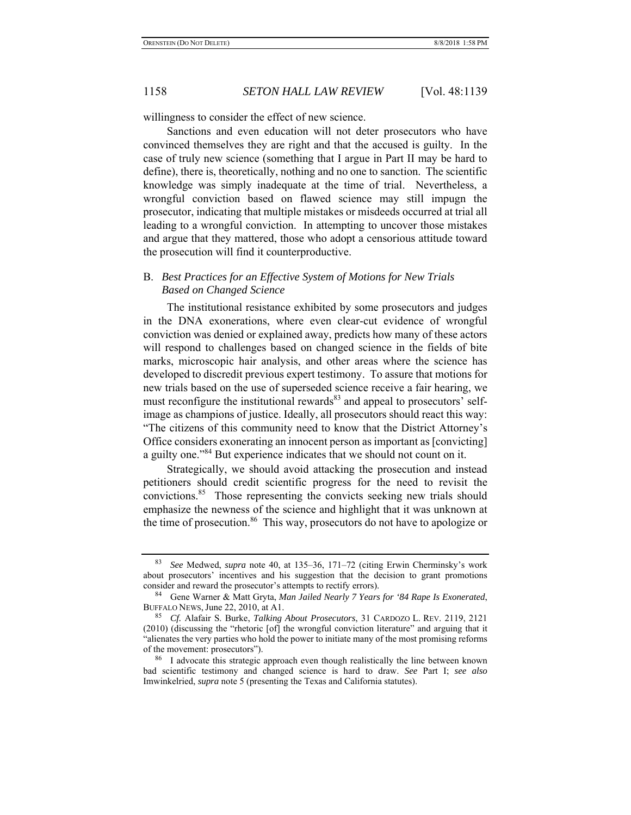willingness to consider the effect of new science.

Sanctions and even education will not deter prosecutors who have convinced themselves they are right and that the accused is guilty. In the case of truly new science (something that I argue in Part II may be hard to define), there is, theoretically, nothing and no one to sanction. The scientific knowledge was simply inadequate at the time of trial. Nevertheless, a wrongful conviction based on flawed science may still impugn the prosecutor, indicating that multiple mistakes or misdeeds occurred at trial all leading to a wrongful conviction. In attempting to uncover those mistakes and argue that they mattered, those who adopt a censorious attitude toward the prosecution will find it counterproductive.

# B. *Best Practices for an Effective System of Motions for New Trials Based on Changed Science*

The institutional resistance exhibited by some prosecutors and judges in the DNA exonerations, where even clear-cut evidence of wrongful conviction was denied or explained away, predicts how many of these actors will respond to challenges based on changed science in the fields of bite marks, microscopic hair analysis, and other areas where the science has developed to discredit previous expert testimony. To assure that motions for new trials based on the use of superseded science receive a fair hearing, we must reconfigure the institutional rewards<sup>83</sup> and appeal to prosecutors' selfimage as champions of justice. Ideally, all prosecutors should react this way: "The citizens of this community need to know that the District Attorney's Office considers exonerating an innocent person as important as [convicting] a guilty one."84 But experience indicates that we should not count on it.

Strategically, we should avoid attacking the prosecution and instead petitioners should credit scientific progress for the need to revisit the convictions.85 Those representing the convicts seeking new trials should emphasize the newness of the science and highlight that it was unknown at the time of prosecution.<sup>86</sup> This way, prosecutors do not have to apologize or

<sup>83</sup> *See* Medwed, *supra* note 40, at 135–36, 171–72 (citing Erwin Cherminsky's work about prosecutors' incentives and his suggestion that the decision to grant promotions consider and reward the prosecutor's attempts to rectify errors).

<sup>84</sup> Gene Warner & Matt Gryta, *Man Jailed Nearly 7 Years for '84 Rape Is Exonerated*, BUFFALO NEWS, June 22, 2010, at A1.

<sup>85</sup> *Cf.* Alafair S. Burke, *Talking About Prosecutors*, 31 CARDOZO L. REV. 2119, 2121 (2010) (discussing the "rhetoric [of] the wrongful conviction literature" and arguing that it "alienates the very parties who hold the power to initiate many of the most promising reforms of the movement: prosecutors").

<sup>&</sup>lt;sup>86</sup> I advocate this strategic approach even though realistically the line between known bad scientific testimony and changed science is hard to draw. *See* Part I; *see also*  Imwinkelried, *supra* note 5 (presenting the Texas and California statutes).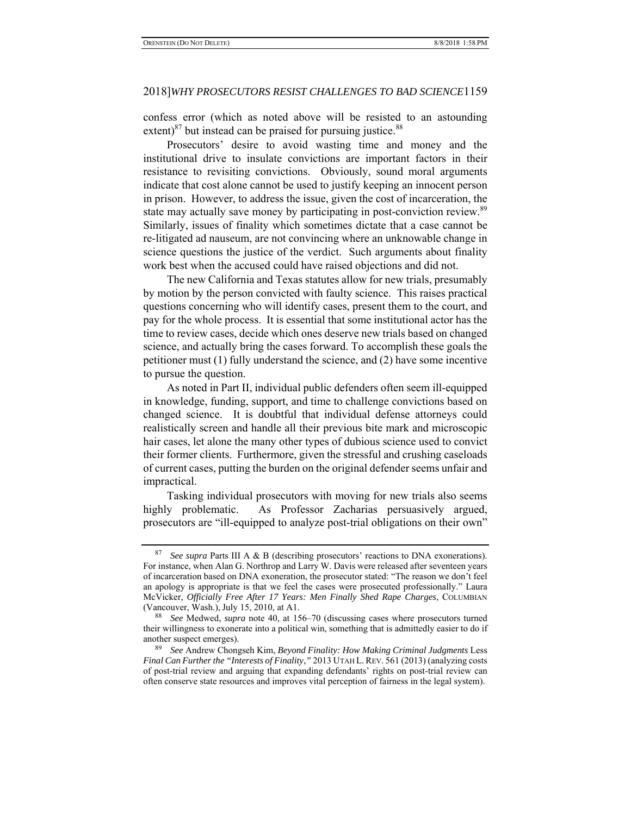confess error (which as noted above will be resisted to an astounding extent) $87$  but instead can be praised for pursuing justice. $88$ 

Prosecutors' desire to avoid wasting time and money and the institutional drive to insulate convictions are important factors in their resistance to revisiting convictions. Obviously, sound moral arguments indicate that cost alone cannot be used to justify keeping an innocent person in prison. However, to address the issue, given the cost of incarceration, the state may actually save money by participating in post-conviction review.<sup>89</sup> Similarly, issues of finality which sometimes dictate that a case cannot be re-litigated ad nauseum, are not convincing where an unknowable change in science questions the justice of the verdict. Such arguments about finality work best when the accused could have raised objections and did not.

The new California and Texas statutes allow for new trials, presumably by motion by the person convicted with faulty science. This raises practical questions concerning who will identify cases, present them to the court, and pay for the whole process. It is essential that some institutional actor has the time to review cases, decide which ones deserve new trials based on changed science, and actually bring the cases forward. To accomplish these goals the petitioner must (1) fully understand the science, and (2) have some incentive to pursue the question.

As noted in Part II, individual public defenders often seem ill-equipped in knowledge, funding, support, and time to challenge convictions based on changed science. It is doubtful that individual defense attorneys could realistically screen and handle all their previous bite mark and microscopic hair cases, let alone the many other types of dubious science used to convict their former clients. Furthermore, given the stressful and crushing caseloads of current cases, putting the burden on the original defender seems unfair and impractical.

Tasking individual prosecutors with moving for new trials also seems highly problematic. As Professor Zacharias persuasively argued, prosecutors are "ill-equipped to analyze post-trial obligations on their own"

See supra Parts III A & B (describing prosecutors' reactions to DNA exonerations). For instance, when Alan G. Northrop and Larry W. Davis were released after seventeen years of incarceration based on DNA exoneration, the prosecutor stated: "The reason we don't feel an apology is appropriate is that we feel the cases were prosecuted professionally." Laura McVicker, *Officially Free After 17 Years: Men Finally Shed Rape Charges*, COLUMBIAN (Vancouver, Wash.), July 15, 2010, at A1.

<sup>88</sup> *See* Medwed, *supra* note 40, at 156–70 (discussing cases where prosecutors turned their willingness to exonerate into a political win, something that is admittedly easier to do if another suspect emerges).

<sup>89</sup> *See* Andrew Chongseh Kim, *Beyond Finality: How Making Criminal Judgments* Less *Final Can Further the "Interests of Finality*,*"* 2013 UTAH L.REV. 561 (2013) (analyzing costs of post-trial review and arguing that expanding defendants' rights on post-trial review can often conserve state resources and improves vital perception of fairness in the legal system).